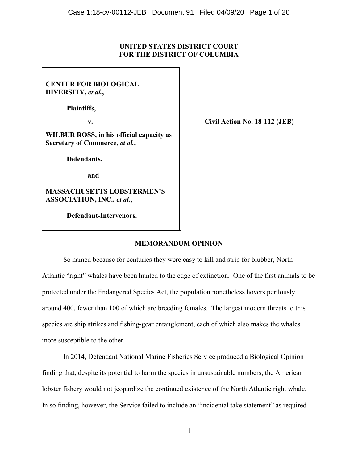## **UNITED STATES DISTRICT COURT FOR THE DISTRICT OF COLUMBIA**

**CENTER FOR BIOLOGICAL DIVERSITY,** *et al.***,**

**Plaintiffs,**

**WILBUR ROSS, in his official capacity as Secretary of Commerce,** *et al.***,** 

**Defendants,**

**and**

**MASSACHUSETTS LOBSTERMEN'S ASSOCIATION, INC.,** *et al.***,**

**Defendant-Intervenors.**

**v. Civil Action No. 18-112 (JEB)**

# **MEMORANDUM OPINION**

So named because for centuries they were easy to kill and strip for blubber, North Atlantic "right" whales have been hunted to the edge of extinction. One of the first animals to be protected under the Endangered Species Act, the population nonetheless hovers perilously around 400, fewer than 100 of which are breeding females. The largest modern threats to this species are ship strikes and fishing-gear entanglement, each of which also makes the whales more susceptible to the other.

In 2014, Defendant National Marine Fisheries Service produced a Biological Opinion finding that, despite its potential to harm the species in unsustainable numbers, the American lobster fishery would not jeopardize the continued existence of the North Atlantic right whale. In so finding, however, the Service failed to include an "incidental take statement" as required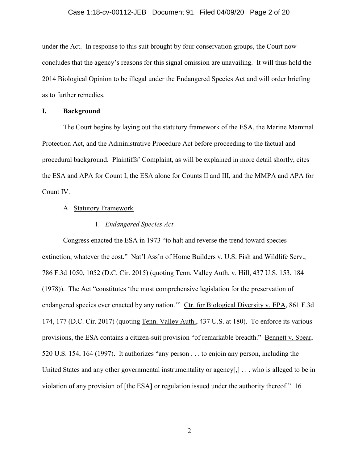## Case 1:18-cv-00112-JEB Document 91 Filed 04/09/20 Page 2 of 20

under the Act. In response to this suit brought by four conservation groups, the Court now concludes that the agency's reasons for this signal omission are unavailing. It will thus hold the 2014 Biological Opinion to be illegal under the Endangered Species Act and will order briefing as to further remedies.

#### **I. Background**

The Court begins by laying out the statutory framework of the ESA, the Marine Mammal Protection Act, and the Administrative Procedure Act before proceeding to the factual and procedural background. Plaintiffs' Complaint, as will be explained in more detail shortly, cites the ESA and APA for Count I, the ESA alone for Counts II and III, and the MMPA and APA for Count IV.

#### A. Statutory Framework

## 1. *Endangered Species Act*

Congress enacted the ESA in 1973 "to halt and reverse the trend toward species extinction, whatever the cost." Nat'l Ass'n of Home Builders v. U.S. Fish and Wildlife Serv., 786 F.3d 1050, 1052 (D.C. Cir. 2015) (quoting Tenn. Valley Auth. v. Hill, 437 U.S. 153, 184 (1978)). The Act "constitutes 'the most comprehensive legislation for the preservation of endangered species ever enacted by any nation."" Ctr. for Biological Diversity v. EPA, 861 F.3d 174, 177 (D.C. Cir. 2017) (quoting Tenn. Valley Auth., 437 U.S. at 180). To enforce its various provisions, the ESA contains a citizen-suit provision "of remarkable breadth." Bennett v. Spear, 520 U.S. 154, 164 (1997). It authorizes "any person . . . to enjoin any person, including the United States and any other governmental instrumentality or agency[,] . . . who is alleged to be in violation of any provision of [the ESA] or regulation issued under the authority thereof." 16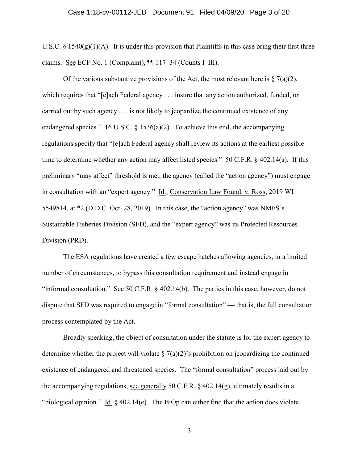U.S.C.  $\S 1540(g)(1)(A)$ . It is under this provision that Plaintiffs in this case bring their first three claims. See ECF No. 1 (Complaint), ¶¶ 117–34 (Counts I–III).

Of the various substantive provisions of the Act, the most relevant here is  $\S 7(a)(2)$ , which requires that "[e]ach Federal agency . . . insure that any action authorized, funded, or carried out by such agency . . . is not likely to jeopardize the continued existence of any endangered species." 16 U.S.C.  $\S$  1536(a)(2). To achieve this end, the accompanying regulations specify that "[e]ach Federal agency shall review its actions at the earliest possible time to determine whether any action may affect listed species." 50 C.F.R. § 402.14(a). If this preliminary "may affect" threshold is met, the agency (called the "action agency") must engage in consultation with an "expert agency." Id.; Conservation Law Found. v. Ross, 2019 WL 5549814, at \*2 (D.D.C. Oct. 28, 2019). In this case, the "action agency" was NMFS's Sustainable Fisheries Division (SFD), and the "expert agency" was its Protected Resources Division (PRD).

The ESA regulations have created a few escape hatches allowing agencies, in a limited number of circumstances, to bypass this consultation requirement and instead engage in "informal consultation." See 50 C.F.R. § 402.14(b). The parties in this case, however, do not dispute that SFD was required to engage in "formal consultation" — that is, the full consultation process contemplated by the Act.

Broadly speaking, the object of consultation under the statute is for the expert agency to determine whether the project will violate  $\S 7(a)(2)$ 's prohibition on jeopardizing the continued existence of endangered and threatened species. The "formal consultation" process laid out by the accompanying regulations, see generally 50 C.F.R.  $\S$  402.14(g), ultimately results in a "biological opinion." Id. § 402.14(e). The BiOp can either find that the action does violate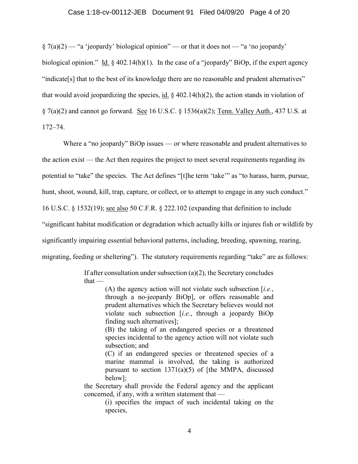#### Case 1:18-cv-00112-JEB Document 91 Filed 04/09/20 Page 4 of 20

 $\S 7(a)(2)$  — "a 'jeopardy' biological opinion" — or that it does not — "a 'no jeopardy' biological opinion." Id. § 402.14(h)(1). In the case of a "jeopardy" BiOp, if the expert agency "indicate[s] that to the best of its knowledge there are no reasonable and prudent alternatives" that would avoid jeopardizing the species, id.  $\S$  402.14(h)(2), the action stands in violation of § 7(a)(2) and cannot go forward. See 16 U.S.C. § 1536(a)(2); Tenn. Valley Auth., 437 U.S. at 172–74.

Where a "no jeopardy" BiOp issues — or where reasonable and prudent alternatives to the action exist — the Act then requires the project to meet several requirements regarding its potential to "take" the species. The Act defines "[t]he term 'take'" as "to harass, harm, pursue, hunt, shoot, wound, kill, trap, capture, or collect, or to attempt to engage in any such conduct." 16 U.S.C. § 1532(19); see also 50 C.F.R. § 222.102 (expanding that definition to include "significant habitat modification or degradation which actually kills or injures fish or wildlife by significantly impairing essential behavioral patterns, including, breeding, spawning, rearing, migrating, feeding or sheltering"). The statutory requirements regarding "take" are as follows:

> If after consultation under subsection  $(a)(2)$ , the Secretary concludes  $that -$

> > (A) the agency action will not violate such subsection [*i.e.*, through a no-jeopardy BiOp], or offers reasonable and prudent alternatives which the Secretary believes would not violate such subsection [*i.e.*, through a jeopardy BiOp finding such alternatives];

> > (B) the taking of an endangered species or a threatened species incidental to the agency action will not violate such subsection; and

> > (C) if an endangered species or threatened species of a marine mammal is involved, the taking is authorized pursuant to section  $1371(a)(5)$  of [the MMPA, discussed below];

the Secretary shall provide the Federal agency and the applicant concerned, if any, with a written statement that —

> (i) specifies the impact of such incidental taking on the species,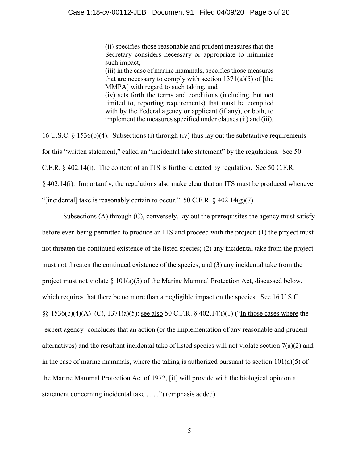(ii) specifies those reasonable and prudent measures that the Secretary considers necessary or appropriate to minimize such impact,

(iii) in the case of marine mammals, specifies those measures that are necessary to comply with section  $1371(a)(5)$  of [the MMPA] with regard to such taking, and (iv) sets forth the terms and conditions (including, but not limited to, reporting requirements) that must be complied with by the Federal agency or applicant (if any), or both, to implement the measures specified under clauses (ii) and (iii).

16 U.S.C. § 1536(b)(4). Subsections (i) through (iv) thus lay out the substantive requirements for this "written statement," called an "incidental take statement" by the regulations. See 50 C.F.R. § 402.14(i). The content of an ITS is further dictated by regulation. See 50 C.F.R. § 402.14(i). Importantly, the regulations also make clear that an ITS must be produced whenever "[incidental] take is reasonably certain to occur." 50 C.F.R.  $\S$  402.14(g)(7).

Subsections (A) through (C), conversely, lay out the prerequisites the agency must satisfy before even being permitted to produce an ITS and proceed with the project: (1) the project must not threaten the continued existence of the listed species; (2) any incidental take from the project must not threaten the continued existence of the species; and (3) any incidental take from the project must not violate § 101(a)(5) of the Marine Mammal Protection Act, discussed below, which requires that there be no more than a negligible impact on the species. See 16 U.S.C. §§ 1536(b)(4)(A)–(C), 1371(a)(5); see also 50 C.F.R. § 402.14(i)(1) ("In those cases where the [expert agency] concludes that an action (or the implementation of any reasonable and prudent alternatives) and the resultant incidental take of listed species will not violate section 7(a)(2) and, in the case of marine mammals, where the taking is authorized pursuant to section  $101(a)(5)$  of the Marine Mammal Protection Act of 1972, [it] will provide with the biological opinion a statement concerning incidental take . . . .") (emphasis added).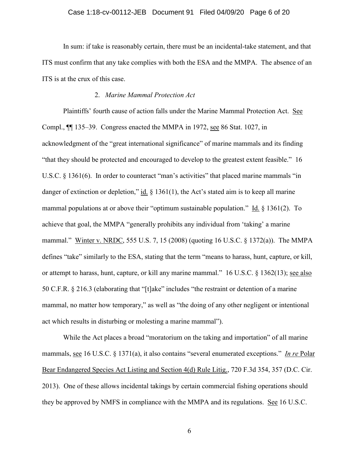#### Case 1:18-cv-00112-JEB Document 91 Filed 04/09/20 Page 6 of 20

In sum: if take is reasonably certain, there must be an incidental-take statement, and that ITS must confirm that any take complies with both the ESA and the MMPA. The absence of an ITS is at the crux of this case.

## 2. *Marine Mammal Protection Act*

Plaintiffs' fourth cause of action falls under the Marine Mammal Protection Act. See Compl., ¶¶ 135–39. Congress enacted the MMPA in 1972, see 86 Stat. 1027, in acknowledgment of the "great international significance" of marine mammals and its finding "that they should be protected and encouraged to develop to the greatest extent feasible." 16 U.S.C. § 1361(6). In order to counteract "man's activities" that placed marine mammals "in danger of extinction or depletion," id.  $\S$  1361(1), the Act's stated aim is to keep all marine mammal populations at or above their "optimum sustainable population." Id. § 1361(2). To achieve that goal, the MMPA "generally prohibits any individual from 'taking' a marine mammal." Winter v. NRDC, 555 U.S. 7, 15 (2008) (quoting 16 U.S.C. § 1372(a)). The MMPA defines "take" similarly to the ESA, stating that the term "means to harass, hunt, capture, or kill, or attempt to harass, hunt, capture, or kill any marine mammal." 16 U.S.C. § 1362(13); see also 50 C.F.R. § 216.3 (elaborating that "[t]ake" includes "the restraint or detention of a marine mammal, no matter how temporary," as well as "the doing of any other negligent or intentional act which results in disturbing or molesting a marine mammal").

While the Act places a broad "moratorium on the taking and importation" of all marine mammals, see 16 U.S.C. § 1371(a), it also contains "several enumerated exceptions." *In re* Polar Bear Endangered Species Act Listing and Section 4(d) Rule Litig., 720 F.3d 354, 357 (D.C. Cir. 2013). One of these allows incidental takings by certain commercial fishing operations should they be approved by NMFS in compliance with the MMPA and its regulations. See 16 U.S.C.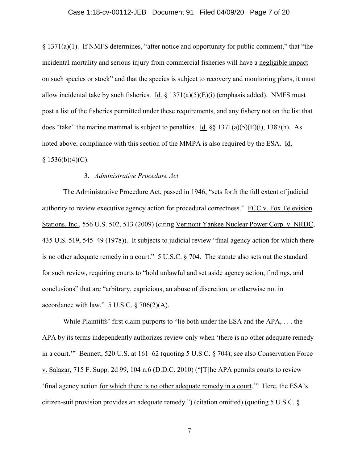#### Case 1:18-cv-00112-JEB Document 91 Filed 04/09/20 Page 7 of 20

§ 1371(a)(1). If NMFS determines, "after notice and opportunity for public comment," that "the incidental mortality and serious injury from commercial fisheries will have a negligible impact on such species or stock" and that the species is subject to recovery and monitoring plans, it must allow incidental take by such fisheries. Id.  $\S$  1371(a)(5)(E)(i) (emphasis added). NMFS must post a list of the fisheries permitted under these requirements, and any fishery not on the list that does "take" the marine mammal is subject to penalties. Id.  $\S$   $\frac{1371(a)(5)(E)(i)}{E}$ , 1387(h). As noted above, compliance with this section of the MMPA is also required by the ESA. Id.  $§ 1536(b)(4)(C).$ 

## 3. *Administrative Procedure Act*

The Administrative Procedure Act, passed in 1946, "sets forth the full extent of judicial authority to review executive agency action for procedural correctness." FCC v. Fox Television Stations, Inc., 556 U.S. 502, 513 (2009) (citing Vermont Yankee Nuclear Power Corp. v. NRDC, 435 U.S. 519, 545–49 (1978)). It subjects to judicial review "final agency action for which there is no other adequate remedy in a court." 5 U.S.C. § 704. The statute also sets out the standard for such review, requiring courts to "hold unlawful and set aside agency action, findings, and conclusions" that are "arbitrary, capricious, an abuse of discretion, or otherwise not in accordance with law."  $5$  U.S.C.  $\S$  706(2)(A).

While Plaintiffs' first claim purports to "lie both under the ESA and the APA, . . . the APA by its terms independently authorizes review only when 'there is no other adequate remedy in a court.'" Bennett, 520 U.S. at 161–62 (quoting 5 U.S.C. § 704); see also Conservation Force v. Salazar, 715 F. Supp. 2d 99, 104 n.6 (D.D.C. 2010) ("[T]he APA permits courts to review 'final agency action for which there is no other adequate remedy in a court.'" Here, the ESA's citizen-suit provision provides an adequate remedy.") (citation omitted) (quoting 5 U.S.C. §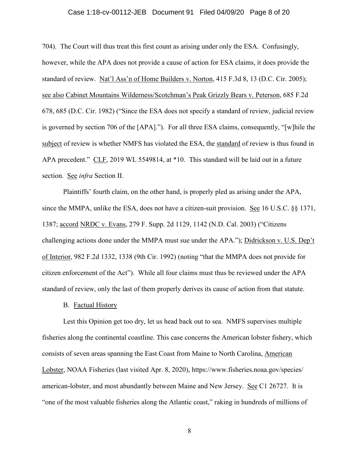#### Case 1:18-cv-00112-JEB Document 91 Filed 04/09/20 Page 8 of 20

704). The Court will thus treat this first count as arising under only the ESA. Confusingly, however, while the APA does not provide a cause of action for ESA claims, it does provide the standard of review. Nat'l Ass'n of Home Builders v. Norton, 415 F.3d 8, 13 (D.C. Cir. 2005); see also Cabinet Mountains Wilderness/Scotchman's Peak Grizzly Bears v. Peterson, 685 F.2d 678, 685 (D.C. Cir. 1982) ("Since the ESA does not specify a standard of review, judicial review is governed by section 706 of the [APA]."). For all three ESA claims, consequently, "[w]hile the subject of review is whether NMFS has violated the ESA, the standard of review is thus found in APA precedent." CLF, 2019 WL 5549814, at \*10. This standard will be laid out in a future section. See *infra* Section II.

Plaintiffs' fourth claim, on the other hand, is properly pled as arising under the APA, since the MMPA, unlike the ESA, does not have a citizen-suit provision. See 16 U.S.C. §§ 1371, 1387; accord NRDC v. Evans, 279 F. Supp. 2d 1129, 1142 (N.D. Cal. 2003) ("Citizens challenging actions done under the MMPA must sue under the APA."); Didrickson v. U.S. Dep't of Interior, 982 F.2d 1332, 1338 (9th Cir. 1992) (noting "that the MMPA does not provide for citizen enforcement of the Act"). While all four claims must thus be reviewed under the APA standard of review, only the last of them properly derives its cause of action from that statute.

#### B. Factual History

Lest this Opinion get too dry, let us head back out to sea. NMFS supervises multiple fisheries along the continental coastline. This case concerns the American lobster fishery, which consists of seven areas spanning the East Coast from Maine to North Carolina, American Lobster, NOAA Fisheries (last visited Apr. 8, 2020), https://www.fisheries.noaa.gov/species/ american-lobster, and most abundantly between Maine and New Jersey. See C1 26727. It is "one of the most valuable fisheries along the Atlantic coast," raking in hundreds of millions of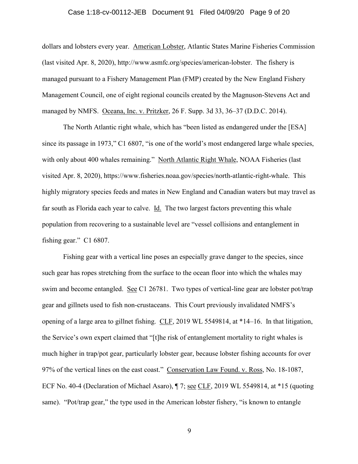#### Case 1:18-cv-00112-JEB Document 91 Filed 04/09/20 Page 9 of 20

dollars and lobsters every year. American Lobster, Atlantic States Marine Fisheries Commission (last visited Apr. 8, 2020), http://www.asmfc.org/species/american-lobster. The fishery is managed pursuant to a Fishery Management Plan (FMP) created by the New England Fishery Management Council, one of eight regional councils created by the Magnuson-Stevens Act and managed by NMFS. Oceana, Inc. v. Pritzker, 26 F. Supp. 3d 33, 36–37 (D.D.C. 2014).

The North Atlantic right whale, which has "been listed as endangered under the [ESA] since its passage in 1973," C1 6807, "is one of the world's most endangered large whale species, with only about 400 whales remaining." North Atlantic Right Whale, NOAA Fisheries (last visited Apr. 8, 2020), https://www.fisheries.noaa.gov/species/north-atlantic-right-whale. This highly migratory species feeds and mates in New England and Canadian waters but may travel as far south as Florida each year to calve. Id. The two largest factors preventing this whale population from recovering to a sustainable level are "vessel collisions and entanglement in fishing gear." C1 6807.

Fishing gear with a vertical line poses an especially grave danger to the species, since such gear has ropes stretching from the surface to the ocean floor into which the whales may swim and become entangled. See C1 26781. Two types of vertical-line gear are lobster pot/trap gear and gillnets used to fish non-crustaceans. This Court previously invalidated NMFS's opening of a large area to gillnet fishing. CLF, 2019 WL 5549814, at \*14–16. In that litigation, the Service's own expert claimed that "[t]he risk of entanglement mortality to right whales is much higher in trap/pot gear, particularly lobster gear, because lobster fishing accounts for over 97% of the vertical lines on the east coast." Conservation Law Found. v. Ross, No. 18-1087, ECF No. 40-4 (Declaration of Michael Asaro), ¶ 7; see CLF, 2019 WL 5549814, at \*15 (quoting same). "Pot/trap gear," the type used in the American lobster fishery, "is known to entangle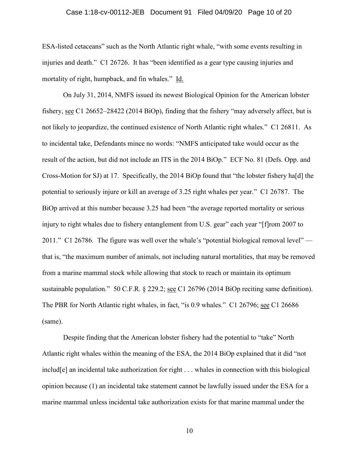#### Case 1:18-cv-00112-JEB Document 91 Filed 04/09/20 Page 10 of 20

ESA-listed cetaceans" such as the North Atlantic right whale, "with some events resulting in injuries and death." C1 26726. It has "been identified as a gear type causing injuries and mortality of right, humpback, and fin whales." Id.

On July 31, 2014, NMFS issued its newest Biological Opinion for the American lobster fishery, see C1 26652–28422 (2014 BiOp), finding that the fishery "may adversely affect, but is not likely to jeopardize, the continued existence of North Atlantic right whales." C1 26811. As to incidental take, Defendants mince no words: "NMFS anticipated take would occur as the result of the action, but did not include an ITS in the 2014 BiOp." ECF No. 81 (Defs. Opp. and Cross-Motion for SJ) at 17. Specifically, the 2014 BiOp found that "the lobster fishery ha[d] the potential to seriously injure or kill an average of 3.25 right whales per year." C1 26787. The BiOp arrived at this number because 3.25 had been "the average reported mortality or serious injury to right whales due to fishery entanglement from U.S. gear" each year "[f]rom 2007 to 2011." C1 26786. The figure was well over the whale's "potential biological removal level" that is, "the maximum number of animals, not including natural mortalities, that may be removed from a marine mammal stock while allowing that stock to reach or maintain its optimum sustainable population." 50 C.F.R. § 229.2; see C1 26796 (2014 BiOp reciting same definition). The PBR for North Atlantic right whales, in fact, "is 0.9 whales." C1 26796; see C1 26686 (same).

Despite finding that the American lobster fishery had the potential to "take" North Atlantic right whales within the meaning of the ESA, the 2014 BiOp explained that it did "not includ[e] an incidental take authorization for right . . . whales in connection with this biological opinion because (1) an incidental take statement cannot be lawfully issued under the ESA for a marine mammal unless incidental take authorization exists for that marine mammal under the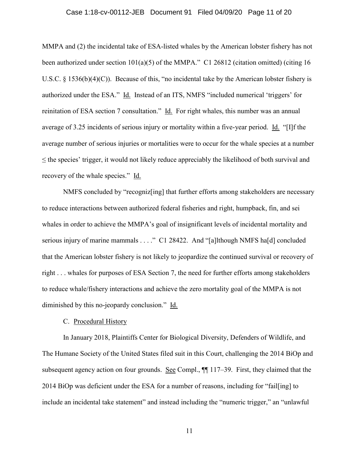#### Case 1:18-cv-00112-JEB Document 91 Filed 04/09/20 Page 11 of 20

MMPA and (2) the incidental take of ESA-listed whales by the American lobster fishery has not been authorized under section 101(a)(5) of the MMPA." C1 26812 (citation omitted) (citing 16 U.S.C. § 1536(b)(4)(C)). Because of this, "no incidental take by the American lobster fishery is authorized under the ESA." Id. Instead of an ITS, NMFS "included numerical 'triggers' for reinitation of ESA section 7 consultation." Id. For right whales, this number was an annual average of 3.25 incidents of serious injury or mortality within a five-year period. Id. "[I]f the average number of serious injuries or mortalities were to occur for the whale species at a number  $\leq$  the species' trigger, it would not likely reduce appreciably the likelihood of both survival and recovery of the whale species." Id.

NMFS concluded by "recogniz[ing] that further efforts among stakeholders are necessary to reduce interactions between authorized federal fisheries and right, humpback, fin, and sei whales in order to achieve the MMPA's goal of insignificant levels of incidental mortality and serious injury of marine mammals . . . ." C1 28422. And "[a]lthough NMFS ha[d] concluded that the American lobster fishery is not likely to jeopardize the continued survival or recovery of right . . . whales for purposes of ESA Section 7, the need for further efforts among stakeholders to reduce whale/fishery interactions and achieve the zero mortality goal of the MMPA is not diminished by this no-jeopardy conclusion." Id.

## C. Procedural History

In January 2018, Plaintiffs Center for Biological Diversity, Defenders of Wildlife, and The Humane Society of the United States filed suit in this Court, challenging the 2014 BiOp and subsequent agency action on four grounds. See Compl.,  $\P$  117–39. First, they claimed that the 2014 BiOp was deficient under the ESA for a number of reasons, including for "fail[ing] to include an incidental take statement" and instead including the "numeric trigger," an "unlawful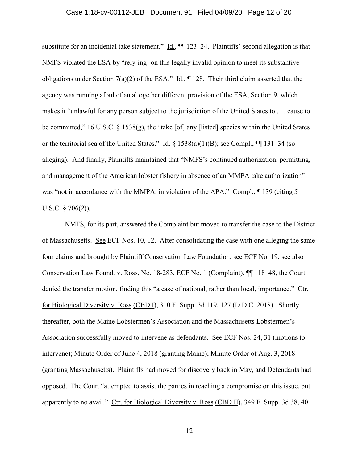#### Case 1:18-cv-00112-JEB Document 91 Filed 04/09/20 Page 12 of 20

substitute for an incidental take statement."  $\underline{Id}$ ,  $\P\P$  123–24. Plaintiffs' second allegation is that NMFS violated the ESA by "rely[ing] on this legally invalid opinion to meet its substantive obligations under Section 7(a)(2) of the ESA." Id.,  $\P$  128. Their third claim asserted that the agency was running afoul of an altogether different provision of the ESA, Section 9, which makes it "unlawful for any person subject to the jurisdiction of the United States to . . . cause to be committed," 16 U.S.C. § 1538(g), the "take [of] any [listed] species within the United States or the territorial sea of the United States." Id.  $\S 1538(a)(1)(B)$ ; see Compl.,  $\P\P 131-34$  (so alleging). And finally, Plaintiffs maintained that "NMFS's continued authorization, permitting, and management of the American lobster fishery in absence of an MMPA take authorization" was "not in accordance with the MMPA, in violation of the APA." Compl.,  $\P$  139 (citing 5 U.S.C. § 706(2)).

NMFS, for its part, answered the Complaint but moved to transfer the case to the District of Massachusetts. See ECF Nos. 10, 12. After consolidating the case with one alleging the same four claims and brought by Plaintiff Conservation Law Foundation, see ECF No. 19; see also Conservation Law Found. v. Ross, No. 18-283, ECF No. 1 (Complaint), ¶¶ 118–48, the Court denied the transfer motion, finding this "a case of national, rather than local, importance." Ctr. for Biological Diversity v. Ross (CBD I), 310 F. Supp. 3d 119, 127 (D.D.C. 2018). Shortly thereafter, both the Maine Lobstermen's Association and the Massachusetts Lobstermen's Association successfully moved to intervene as defendants. See ECF Nos. 24, 31 (motions to intervene); Minute Order of June 4, 2018 (granting Maine); Minute Order of Aug. 3, 2018 (granting Massachusetts). Plaintiffs had moved for discovery back in May, and Defendants had opposed. The Court "attempted to assist the parties in reaching a compromise on this issue, but apparently to no avail." Ctr. for Biological Diversity v. Ross (CBD II), 349 F. Supp. 3d 38, 40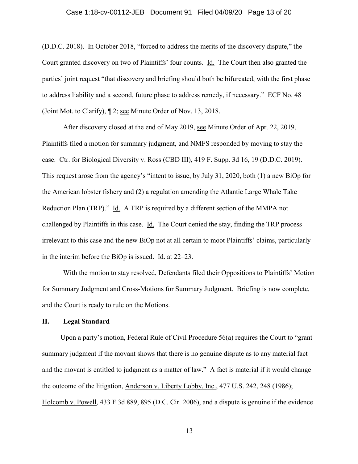## Case 1:18-cv-00112-JEB Document 91 Filed 04/09/20 Page 13 of 20

(D.D.C. 2018). In October 2018, "forced to address the merits of the discovery dispute," the Court granted discovery on two of Plaintiffs' four counts. Id. The Court then also granted the parties' joint request "that discovery and briefing should both be bifurcated, with the first phase to address liability and a second, future phase to address remedy, if necessary." ECF No. 48 (Joint Mot. to Clarify), ¶ 2; see Minute Order of Nov. 13, 2018.

After discovery closed at the end of May 2019, see Minute Order of Apr. 22, 2019, Plaintiffs filed a motion for summary judgment, and NMFS responded by moving to stay the case. Ctr. for Biological Diversity v. Ross (CBD III), 419 F. Supp. 3d 16, 19 (D.D.C. 2019). This request arose from the agency's "intent to issue, by July 31, 2020, both (1) a new BiOp for the American lobster fishery and (2) a regulation amending the Atlantic Large Whale Take Reduction Plan (TRP)." Id. A TRP is required by a different section of the MMPA not challenged by Plaintiffs in this case. Id. The Court denied the stay, finding the TRP process irrelevant to this case and the new BiOp not at all certain to moot Plaintiffs' claims, particularly in the interim before the BiOp is issued. Id. at 22–23.

With the motion to stay resolved, Defendants filed their Oppositions to Plaintiffs' Motion for Summary Judgment and Cross-Motions for Summary Judgment. Briefing is now complete, and the Court is ready to rule on the Motions.

## **II. Legal Standard**

Upon a party's motion, Federal Rule of Civil Procedure 56(a) requires the Court to "grant summary judgment if the movant shows that there is no genuine dispute as to any material fact and the movant is entitled to judgment as a matter of law." A fact is material if it would change the outcome of the litigation, Anderson v. Liberty Lobby, Inc., 477 U.S. 242, 248 (1986); Holcomb v. Powell, 433 F.3d 889, 895 (D.C. Cir. 2006), and a dispute is genuine if the evidence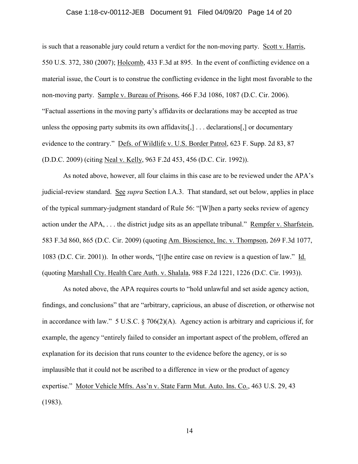#### Case 1:18-cv-00112-JEB Document 91 Filed 04/09/20 Page 14 of 20

is such that a reasonable jury could return a verdict for the non-moving party. Scott v. Harris, 550 U.S. 372, 380 (2007); Holcomb, 433 F.3d at 895. In the event of conflicting evidence on a material issue, the Court is to construe the conflicting evidence in the light most favorable to the non-moving party. Sample v. Bureau of Prisons, 466 F.3d 1086, 1087 (D.C. Cir. 2006). "Factual assertions in the moving party's affidavits or declarations may be accepted as true unless the opposing party submits its own affidavits[,] . . . declarations[,] or documentary evidence to the contrary." Defs. of Wildlife v. U.S. Border Patrol, 623 F. Supp. 2d 83, 87 (D.D.C. 2009) (citing Neal v. Kelly, 963 F.2d 453, 456 (D.C. Cir. 1992)).

As noted above, however, all four claims in this case are to be reviewed under the APA's judicial-review standard. See *supra* Section I.A.3. That standard, set out below, applies in place of the typical summary-judgment standard of Rule 56: "[W]hen a party seeks review of agency action under the APA, ... the district judge sits as an appellate tribunal." Rempfer v. Sharfstein, 583 F.3d 860, 865 (D.C. Cir. 2009) (quoting Am. Bioscience, Inc. v. Thompson, 269 F.3d 1077, 1083 (D.C. Cir. 2001)). In other words, "[t]he entire case on review is a question of law." Id. (quoting Marshall Cty. Health Care Auth. v. Shalala, 988 F.2d 1221, 1226 (D.C. Cir. 1993)).

As noted above, the APA requires courts to "hold unlawful and set aside agency action, findings, and conclusions" that are "arbitrary, capricious, an abuse of discretion, or otherwise not in accordance with law." 5 U.S.C. § 706(2)(A). Agency action is arbitrary and capricious if, for example, the agency "entirely failed to consider an important aspect of the problem, offered an explanation for its decision that runs counter to the evidence before the agency, or is so implausible that it could not be ascribed to a difference in view or the product of agency expertise." Motor Vehicle Mfrs. Ass'n v. State Farm Mut. Auto. Ins. Co., 463 U.S. 29, 43 (1983).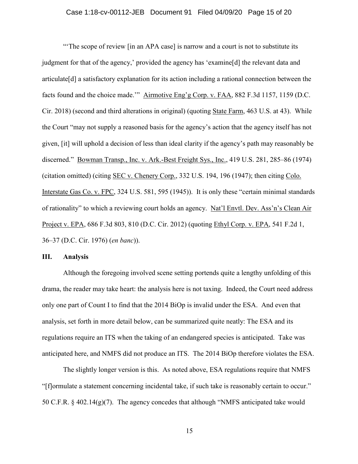#### Case 1:18-cv-00112-JEB Document 91 Filed 04/09/20 Page 15 of 20

"'The scope of review [in an APA case] is narrow and a court is not to substitute its judgment for that of the agency,' provided the agency has 'examine[d] the relevant data and articulate[d] a satisfactory explanation for its action including a rational connection between the facts found and the choice made.'" Airmotive Eng'g Corp. v. FAA, 882 F.3d 1157, 1159 (D.C. Cir. 2018) (second and third alterations in original) (quoting State Farm, 463 U.S. at 43). While the Court "may not supply a reasoned basis for the agency's action that the agency itself has not given, [it] will uphold a decision of less than ideal clarity if the agency's path may reasonably be discerned." Bowman Transp., Inc. v. Ark.-Best Freight Sys., Inc., 419 U.S. 281, 285–86 (1974) (citation omitted) (citing SEC v. Chenery Corp., 332 U.S. 194, 196 (1947); then citing Colo. Interstate Gas Co. v. FPC, 324 U.S. 581, 595 (1945)). It is only these "certain minimal standards of rationality" to which a reviewing court holds an agency. Nat'l Envtl. Dev. Ass'n's Clean Air Project v. EPA, 686 F.3d 803, 810 (D.C. Cir. 2012) (quoting Ethyl Corp. v. EPA, 541 F.2d 1, 36–37 (D.C. Cir. 1976) (*en banc*)).

#### **III. Analysis**

Although the foregoing involved scene setting portends quite a lengthy unfolding of this drama, the reader may take heart: the analysis here is not taxing. Indeed, the Court need address only one part of Count I to find that the 2014 BiOp is invalid under the ESA. And even that analysis, set forth in more detail below, can be summarized quite neatly: The ESA and its regulations require an ITS when the taking of an endangered species is anticipated. Take was anticipated here, and NMFS did not produce an ITS. The 2014 BiOp therefore violates the ESA.

The slightly longer version is this. As noted above, ESA regulations require that NMFS "[f]ormulate a statement concerning incidental take, if such take is reasonably certain to occur." 50 C.F.R. § 402.14(g)(7). The agency concedes that although "NMFS anticipated take would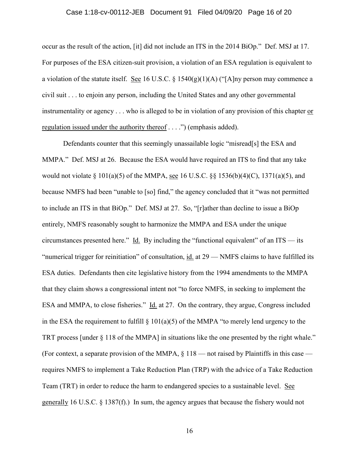#### Case 1:18-cv-00112-JEB Document 91 Filed 04/09/20 Page 16 of 20

occur as the result of the action, [it] did not include an ITS in the 2014 BiOp." Def. MSJ at 17. For purposes of the ESA citizen-suit provision, a violation of an ESA regulation is equivalent to a violation of the statute itself. See 16 U.S.C. § 1540(g)(1)(A) ("[A]ny person may commence a civil suit . . . to enjoin any person, including the United States and any other governmental instrumentality or agency . . . who is alleged to be in violation of any provision of this chapter or regulation issued under the authority thereof . . . .") (emphasis added).

Defendants counter that this seemingly unassailable logic "misread[s] the ESA and MMPA." Def. MSJ at 26. Because the ESA would have required an ITS to find that any take would not violate § 101(a)(5) of the MMPA, see 16 U.S.C. §§ 1536(b)(4)(C), 1371(a)(5), and because NMFS had been "unable to [so] find," the agency concluded that it "was not permitted to include an ITS in that BiOp." Def. MSJ at 27. So, "[r]ather than decline to issue a BiOp entirely, NMFS reasonably sought to harmonize the MMPA and ESA under the unique circumstances presented here." Id. By including the "functional equivalent" of an ITS — its "numerical trigger for reinitiation" of consultation, id. at 29 — NMFS claims to have fulfilled its ESA duties. Defendants then cite legislative history from the 1994 amendments to the MMPA that they claim shows a congressional intent not "to force NMFS, in seeking to implement the ESA and MMPA, to close fisheries." Id. at 27. On the contrary, they argue, Congress included in the ESA the requirement to fulfill  $\S 101(a)(5)$  of the MMPA "to merely lend urgency to the TRT process [under § 118 of the MMPA] in situations like the one presented by the right whale." (For context, a separate provision of the MMPA,  $\S 118$  — not raised by Plaintiffs in this case requires NMFS to implement a Take Reduction Plan (TRP) with the advice of a Take Reduction Team (TRT) in order to reduce the harm to endangered species to a sustainable level. See generally 16 U.S.C. § 1387(f).) In sum, the agency argues that because the fishery would not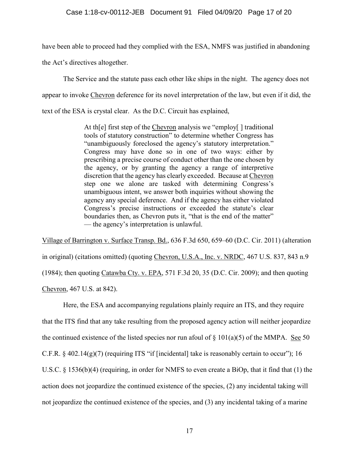have been able to proceed had they complied with the ESA, NMFS was justified in abandoning

the Act's directives altogether.

The Service and the statute pass each other like ships in the night. The agency does not appear to invoke Chevron deference for its novel interpretation of the law, but even if it did, the text of the ESA is crystal clear. As the D.C. Circuit has explained,

> At th[e] first step of the Chevron analysis we "employ[] traditional tools of statutory construction" to determine whether Congress has "unambiguously foreclosed the agency's statutory interpretation." Congress may have done so in one of two ways: either by prescribing a precise course of conduct other than the one chosen by the agency, or by granting the agency a range of interpretive discretion that the agency has clearly exceeded. Because at Chevron step one we alone are tasked with determining Congress's unambiguous intent, we answer both inquiries without showing the agency any special deference. And if the agency has either violated Congress's precise instructions or exceeded the statute's clear boundaries then, as Chevron puts it, "that is the end of the matter" — the agency's interpretation is unlawful.

Village of Barrington v. Surface Transp. Bd., 636 F.3d 650, 659–60 (D.C. Cir. 2011) (alteration in original) (citations omitted) (quoting Chevron, U.S.A., Inc. v. NRDC, 467 U.S. 837, 843 n.9 (1984); then quoting Catawba Cty. v. EPA, 571 F.3d 20, 35 (D.C. Cir. 2009); and then quoting Chevron, 467 U.S. at 842).

Here, the ESA and accompanying regulations plainly require an ITS, and they require that the ITS find that any take resulting from the proposed agency action will neither jeopardize the continued existence of the listed species nor run afoul of  $\S$  101(a)(5) of the MMPA. See 50 C.F.R. § 402.14(g)(7) (requiring ITS "if [incidental] take is reasonably certain to occur"); 16 U.S.C. § 1536(b)(4) (requiring, in order for NMFS to even create a BiOp, that it find that (1) the action does not jeopardize the continued existence of the species, (2) any incidental taking will not jeopardize the continued existence of the species, and (3) any incidental taking of a marine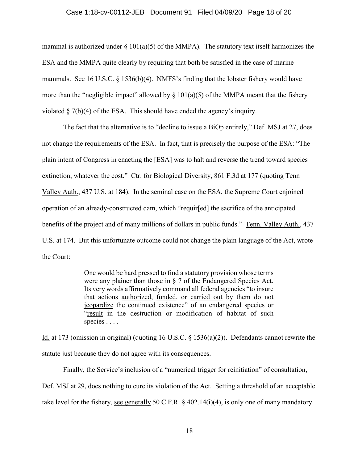#### Case 1:18-cv-00112-JEB Document 91 Filed 04/09/20 Page 18 of 20

mammal is authorized under  $\S 101(a)(5)$  of the MMPA). The statutory text itself harmonizes the ESA and the MMPA quite clearly by requiring that both be satisfied in the case of marine mammals. See 16 U.S.C. § 1536(b)(4). NMFS's finding that the lobster fishery would have more than the "negligible impact" allowed by  $\S$  101(a)(5) of the MMPA meant that the fishery violated § 7(b)(4) of the ESA. This should have ended the agency's inquiry.

The fact that the alternative is to "decline to issue a BiOp entirely," Def. MSJ at 27, does not change the requirements of the ESA. In fact, that is precisely the purpose of the ESA: "The plain intent of Congress in enacting the [ESA] was to halt and reverse the trend toward species extinction, whatever the cost." Ctr. for Biological Diversity, 861 F.3d at 177 (quoting Tenn Valley Auth., 437 U.S. at 184). In the seminal case on the ESA, the Supreme Court enjoined operation of an already-constructed dam, which "requir[ed] the sacrifice of the anticipated benefits of the project and of many millions of dollars in public funds." Tenn. Valley Auth., 437 U.S. at 174. But this unfortunate outcome could not change the plain language of the Act, wrote the Court:

> One would be hard pressed to find a statutory provision whose terms were any plainer than those in § 7 of the Endangered Species Act. Its very words affirmatively command all federal agencies "to insure that actions authorized, funded, or carried out by them do not jeopardize the continued existence" of an endangered species or "result in the destruction or modification of habitat of such species . . . .

Id. at 173 (omission in original) (quoting 16 U.S.C. § 1536(a)(2)). Defendants cannot rewrite the statute just because they do not agree with its consequences.

Finally, the Service's inclusion of a "numerical trigger for reinitiation" of consultation, Def. MSJ at 29, does nothing to cure its violation of the Act. Setting a threshold of an acceptable take level for the fishery, see generally 50 C.F.R. § 402.14(i)(4), is only one of many mandatory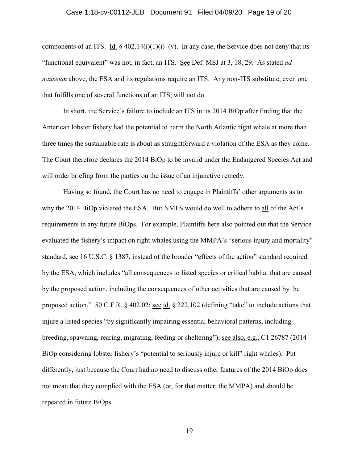#### Case 1:18-cv-00112-JEB Document 91 Filed 04/09/20 Page 19 of 20

components of an ITS. Id.  $\S 402.14(i)(1)(i)$ –(v). In any case, the Service does not deny that its "functional equivalent" was not, in fact, an ITS. See Def. MSJ at 3, 18, 29. As stated *ad nauseum* above, the ESA and its regulations require an ITS. Any non-ITS substitute, even one that fulfills one of several functions of an ITS, will not do.

In short, the Service's failure to include an ITS in its 2014 BiOp after finding that the American lobster fishery had the potential to harm the North Atlantic right whale at more than three times the sustainable rate is about as straightforward a violation of the ESA as they come. The Court therefore declares the 2014 BiOp to be invalid under the Endangered Species Act and will order briefing from the parties on the issue of an injunctive remedy.

Having so found, the Court has no need to engage in Plaintiffs' other arguments as to why the 2014 BiOp violated the ESA. But NMFS would do well to adhere to all of the Act's requirements in any future BiOps. For example, Plaintiffs here also pointed out that the Service evaluated the fishery's impact on right whales using the MMPA's "serious injury and mortality" standard, see 16 U.S.C. § 1387, instead of the broader "effects of the action" standard required by the ESA, which includes "all consequences to listed species or critical habitat that are caused by the proposed action, including the consequences of other activities that are caused by the proposed action." 50 C.F.R. § 402.02; <u>see id.</u> § 222.102 (defining "take" to include actions that injure a listed species "by significantly impairing essential behavioral patterns, including[] breeding, spawning, rearing, migrating, feeding or sheltering"); see also, e.g., C1 26787 (2014 BiOp considering lobster fishery's "potential to seriously injure or kill" right whales). Put differently, just because the Court had no need to discuss other features of the 2014 BiOp does not mean that they complied with the ESA (or, for that matter, the MMPA) and should be repeated in future BiOps.